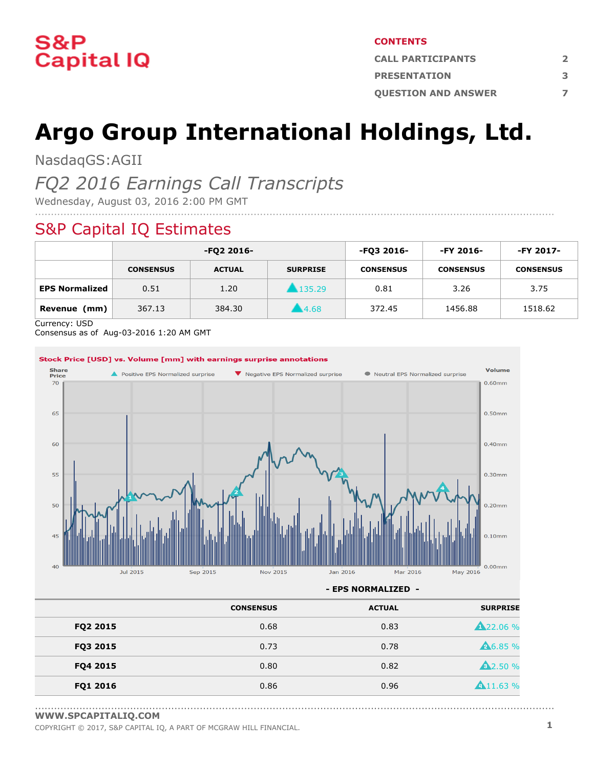

#### **CONTENTS**

| <b>CALL PARTICIPANTS</b>   |   |  |  |
|----------------------------|---|--|--|
| <b>PRESENTATION</b>        | 3 |  |  |
| <b>OUESTION AND ANSWER</b> |   |  |  |

# **Argo Group International Holdings, Ltd.**

NasdaqGS:AGII

### *FQ2 2016 Earnings Call Transcripts*

Wednesday, August 03, 2016 2:00 PM GMT

### S&P Capital IQ Estimates

|                       | -FQ2 2016-       |               | -FO3 2016-          | -FY 2016-        | -FY 2017-        |                  |
|-----------------------|------------------|---------------|---------------------|------------------|------------------|------------------|
|                       | <b>CONSENSUS</b> | <b>ACTUAL</b> | <b>SURPRISE</b>     | <b>CONSENSUS</b> | <b>CONSENSUS</b> | <b>CONSENSUS</b> |
| <b>EPS Normalized</b> | 0.51             | 1.20          | $\clubsuit$ 135.29  | 0.81             | 3.26             | 3.75             |
| Revenue<br>(mm)       | 367.13           | 384.30        | $\blacksquare$ 4.68 | 372.45           | 1456.88          | 1518.62          |

....................................................................................................................................................................

Currency: USD

Consensus as of Aug-03-2016 1:20 AM GMT



**- EPS NORMALIZED -**

|          | <b>CONSENSUS</b> | <b>ACTUAL</b> | <b>SURPRISE</b> |
|----------|------------------|---------------|-----------------|
| FQ2 2015 | 0.68             | 0.83          | <b>A22.06%</b>  |
| FQ3 2015 | 0.73             | 0.78          | <b>A6.85 %</b>  |
| FQ4 2015 | 0.80             | 0.82          | <b>A</b> 2.50 % |
| FQ1 2016 | 0.86             | 0.96          | 411.63%         |

<sup>....................................................................................................................................................................</sup> **[WWW.SPCAPITALIQ.COM](https://www.capitaliq.com/home.aspx)**

COPYRIGHT © 2017, S&P CAPITAL IQ, <sup>A</sup> PART OF MCGRAW HILL FINANCIAL. **1**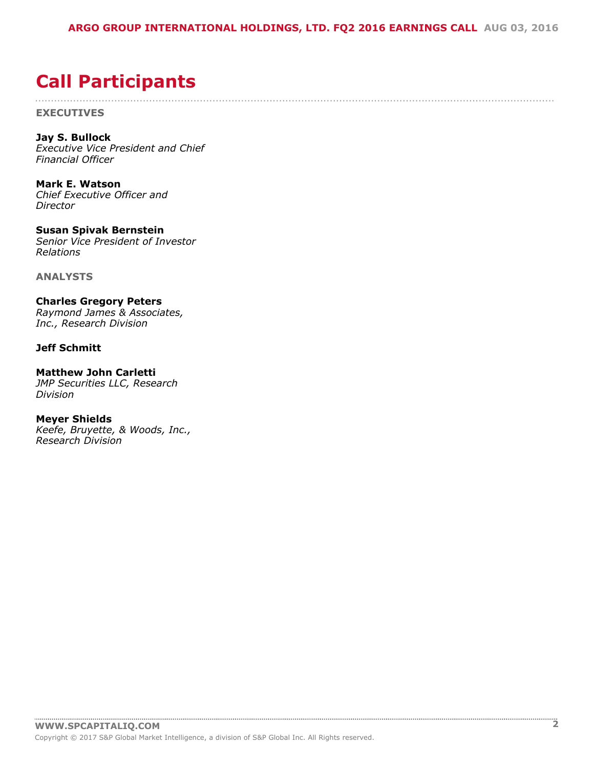....................................................................................................................................................................

## <span id="page-1-0"></span>**Call Participants**

**EXECUTIVES**

**Jay S. Bullock** *Executive Vice President and Chief Financial Officer*

**Mark E. Watson** *Chief Executive Officer and Director*

**Susan Spivak Bernstein** *Senior Vice President of Investor Relations*

**ANALYSTS**

**Charles Gregory Peters** *Raymond James & Associates, Inc., Research Division*

#### **Jeff Schmitt**

**Matthew John Carletti**

*JMP Securities LLC, Research Division*

**Meyer Shields** *Keefe, Bruyette, & Woods, Inc., Research Division*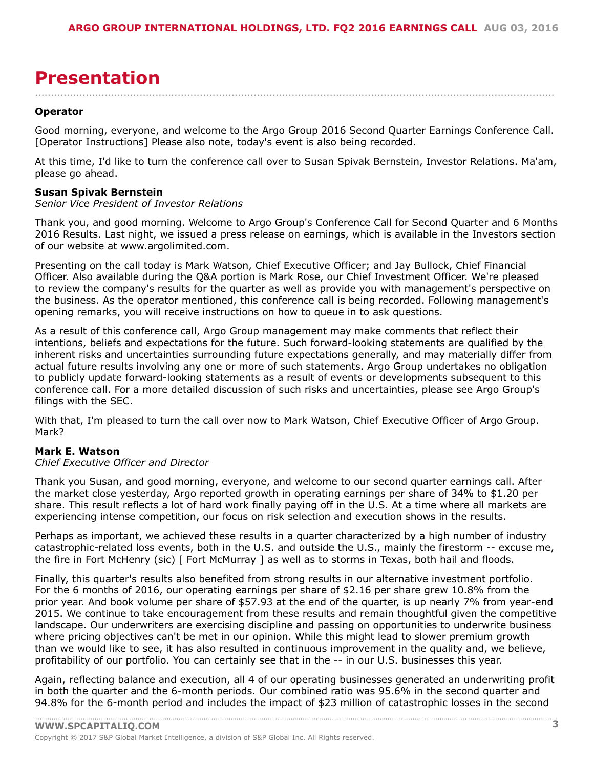## <span id="page-2-0"></span>**Presentation**

....................................................................................................................................................................

#### **Operator**

Good morning, everyone, and welcome to the Argo Group 2016 Second Quarter Earnings Conference Call. [Operator Instructions] Please also note, today's event is also being recorded.

At this time, I'd like to turn the conference call over to Susan Spivak Bernstein, Investor Relations. Ma'am, please go ahead.

#### **Susan Spivak Bernstein**

#### *Senior Vice President of Investor Relations*

Thank you, and good morning. Welcome to Argo Group's Conference Call for Second Quarter and 6 Months 2016 Results. Last night, we issued a press release on earnings, which is available in the Investors section of our website at www.argolimited.com.

Presenting on the call today is Mark Watson, Chief Executive Officer; and Jay Bullock, Chief Financial Officer. Also available during the Q&A portion is Mark Rose, our Chief Investment Officer. We're pleased to review the company's results for the quarter as well as provide you with management's perspective on the business. As the operator mentioned, this conference call is being recorded. Following management's opening remarks, you will receive instructions on how to queue in to ask questions.

As a result of this conference call, Argo Group management may make comments that reflect their intentions, beliefs and expectations for the future. Such forward-looking statements are qualified by the inherent risks and uncertainties surrounding future expectations generally, and may materially differ from actual future results involving any one or more of such statements. Argo Group undertakes no obligation to publicly update forward-looking statements as a result of events or developments subsequent to this conference call. For a more detailed discussion of such risks and uncertainties, please see Argo Group's filings with the SEC.

With that, I'm pleased to turn the call over now to Mark Watson, Chief Executive Officer of Argo Group. Mark?

#### **Mark E. Watson**

#### *Chief Executive Officer and Director*

Thank you Susan, and good morning, everyone, and welcome to our second quarter earnings call. After the market close yesterday, Argo reported growth in operating earnings per share of 34% to \$1.20 per share. This result reflects a lot of hard work finally paying off in the U.S. At a time where all markets are experiencing intense competition, our focus on risk selection and execution shows in the results.

Perhaps as important, we achieved these results in a quarter characterized by a high number of industry catastrophic-related loss events, both in the U.S. and outside the U.S., mainly the firestorm -- excuse me, the fire in Fort McHenry (sic) [ Fort McMurray ] as well as to storms in Texas, both hail and floods.

Finally, this quarter's results also benefited from strong results in our alternative investment portfolio. For the 6 months of 2016, our operating earnings per share of \$2.16 per share grew 10.8% from the prior year. And book volume per share of \$57.93 at the end of the quarter, is up nearly 7% from year-end 2015. We continue to take encouragement from these results and remain thoughtful given the competitive landscape. Our underwriters are exercising discipline and passing on opportunities to underwrite business where pricing objectives can't be met in our opinion. While this might lead to slower premium growth than we would like to see, it has also resulted in continuous improvement in the quality and, we believe, profitability of our portfolio. You can certainly see that in the -- in our U.S. businesses this year.

Again, reflecting balance and execution, all 4 of our operating businesses generated an underwriting profit in both the quarter and the 6-month periods. Our combined ratio was 95.6% in the second quarter and 94.8% for the 6-month period and includes the impact of \$23 million of catastrophic losses in the second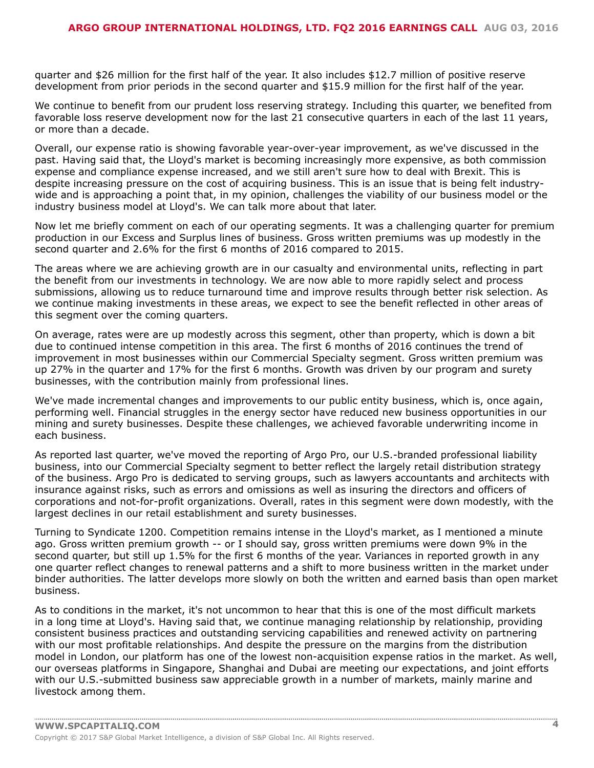quarter and \$26 million for the first half of the year. It also includes \$12.7 million of positive reserve development from prior periods in the second quarter and \$15.9 million for the first half of the year.

We continue to benefit from our prudent loss reserving strategy. Including this quarter, we benefited from favorable loss reserve development now for the last 21 consecutive quarters in each of the last 11 years, or more than a decade.

Overall, our expense ratio is showing favorable year-over-year improvement, as we've discussed in the past. Having said that, the Lloyd's market is becoming increasingly more expensive, as both commission expense and compliance expense increased, and we still aren't sure how to deal with Brexit. This is despite increasing pressure on the cost of acquiring business. This is an issue that is being felt industrywide and is approaching a point that, in my opinion, challenges the viability of our business model or the industry business model at Lloyd's. We can talk more about that later.

Now let me briefly comment on each of our operating segments. It was a challenging quarter for premium production in our Excess and Surplus lines of business. Gross written premiums was up modestly in the second quarter and 2.6% for the first 6 months of 2016 compared to 2015.

The areas where we are achieving growth are in our casualty and environmental units, reflecting in part the benefit from our investments in technology. We are now able to more rapidly select and process submissions, allowing us to reduce turnaround time and improve results through better risk selection. As we continue making investments in these areas, we expect to see the benefit reflected in other areas of this segment over the coming quarters.

On average, rates were are up modestly across this segment, other than property, which is down a bit due to continued intense competition in this area. The first 6 months of 2016 continues the trend of improvement in most businesses within our Commercial Specialty segment. Gross written premium was up 27% in the quarter and 17% for the first 6 months. Growth was driven by our program and surety businesses, with the contribution mainly from professional lines.

We've made incremental changes and improvements to our public entity business, which is, once again, performing well. Financial struggles in the energy sector have reduced new business opportunities in our mining and surety businesses. Despite these challenges, we achieved favorable underwriting income in each business.

As reported last quarter, we've moved the reporting of Argo Pro, our U.S.-branded professional liability business, into our Commercial Specialty segment to better reflect the largely retail distribution strategy of the business. Argo Pro is dedicated to serving groups, such as lawyers accountants and architects with insurance against risks, such as errors and omissions as well as insuring the directors and officers of corporations and not-for-profit organizations. Overall, rates in this segment were down modestly, with the largest declines in our retail establishment and surety businesses.

Turning to Syndicate 1200. Competition remains intense in the Lloyd's market, as I mentioned a minute ago. Gross written premium growth -- or I should say, gross written premiums were down 9% in the second quarter, but still up 1.5% for the first 6 months of the year. Variances in reported growth in any one quarter reflect changes to renewal patterns and a shift to more business written in the market under binder authorities. The latter develops more slowly on both the written and earned basis than open market business.

As to conditions in the market, it's not uncommon to hear that this is one of the most difficult markets in a long time at Lloyd's. Having said that, we continue managing relationship by relationship, providing consistent business practices and outstanding servicing capabilities and renewed activity on partnering with our most profitable relationships. And despite the pressure on the margins from the distribution model in London, our platform has one of the lowest non-acquisition expense ratios in the market. As well, our overseas platforms in Singapore, Shanghai and Dubai are meeting our expectations, and joint efforts with our U.S.-submitted business saw appreciable growth in a number of markets, mainly marine and livestock among them.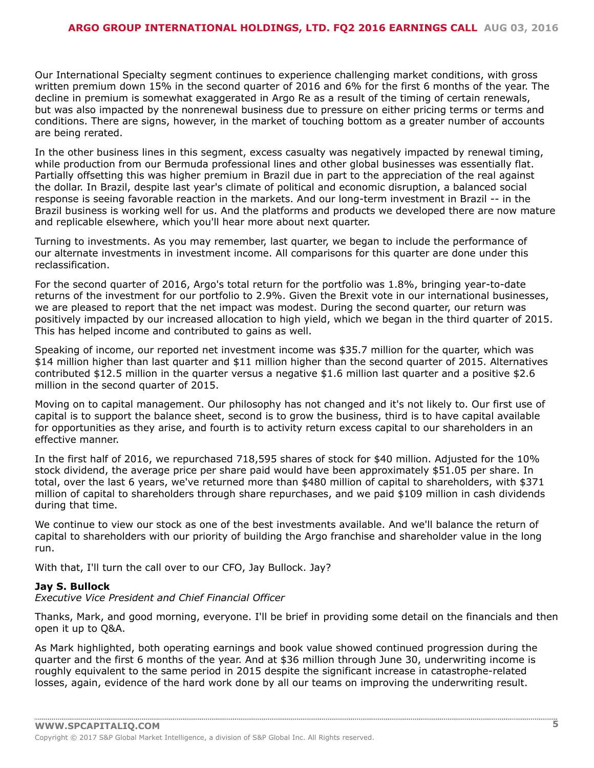Our International Specialty segment continues to experience challenging market conditions, with gross written premium down 15% in the second quarter of 2016 and 6% for the first 6 months of the year. The decline in premium is somewhat exaggerated in Argo Re as a result of the timing of certain renewals, but was also impacted by the nonrenewal business due to pressure on either pricing terms or terms and conditions. There are signs, however, in the market of touching bottom as a greater number of accounts are being rerated.

In the other business lines in this segment, excess casualty was negatively impacted by renewal timing, while production from our Bermuda professional lines and other global businesses was essentially flat. Partially offsetting this was higher premium in Brazil due in part to the appreciation of the real against the dollar. In Brazil, despite last year's climate of political and economic disruption, a balanced social response is seeing favorable reaction in the markets. And our long-term investment in Brazil -- in the Brazil business is working well for us. And the platforms and products we developed there are now mature and replicable elsewhere, which you'll hear more about next quarter.

Turning to investments. As you may remember, last quarter, we began to include the performance of our alternate investments in investment income. All comparisons for this quarter are done under this reclassification.

For the second quarter of 2016, Argo's total return for the portfolio was 1.8%, bringing year-to-date returns of the investment for our portfolio to 2.9%. Given the Brexit vote in our international businesses, we are pleased to report that the net impact was modest. During the second quarter, our return was positively impacted by our increased allocation to high yield, which we began in the third quarter of 2015. This has helped income and contributed to gains as well.

Speaking of income, our reported net investment income was \$35.7 million for the quarter, which was \$14 million higher than last quarter and \$11 million higher than the second quarter of 2015. Alternatives contributed \$12.5 million in the quarter versus a negative \$1.6 million last quarter and a positive \$2.6 million in the second quarter of 2015.

Moving on to capital management. Our philosophy has not changed and it's not likely to. Our first use of capital is to support the balance sheet, second is to grow the business, third is to have capital available for opportunities as they arise, and fourth is to activity return excess capital to our shareholders in an effective manner.

In the first half of 2016, we repurchased 718,595 shares of stock for \$40 million. Adjusted for the 10% stock dividend, the average price per share paid would have been approximately \$51.05 per share. In total, over the last 6 years, we've returned more than \$480 million of capital to shareholders, with \$371 million of capital to shareholders through share repurchases, and we paid \$109 million in cash dividends during that time.

We continue to view our stock as one of the best investments available. And we'll balance the return of capital to shareholders with our priority of building the Argo franchise and shareholder value in the long run.

With that, I'll turn the call over to our CFO, Jay Bullock. Jay?

#### **Jay S. Bullock**

*Executive Vice President and Chief Financial Officer*

Thanks, Mark, and good morning, everyone. I'll be brief in providing some detail on the financials and then open it up to Q&A.

As Mark highlighted, both operating earnings and book value showed continued progression during the quarter and the first 6 months of the year. And at \$36 million through June 30, underwriting income is roughly equivalent to the same period in 2015 despite the significant increase in catastrophe-related losses, again, evidence of the hard work done by all our teams on improving the underwriting result.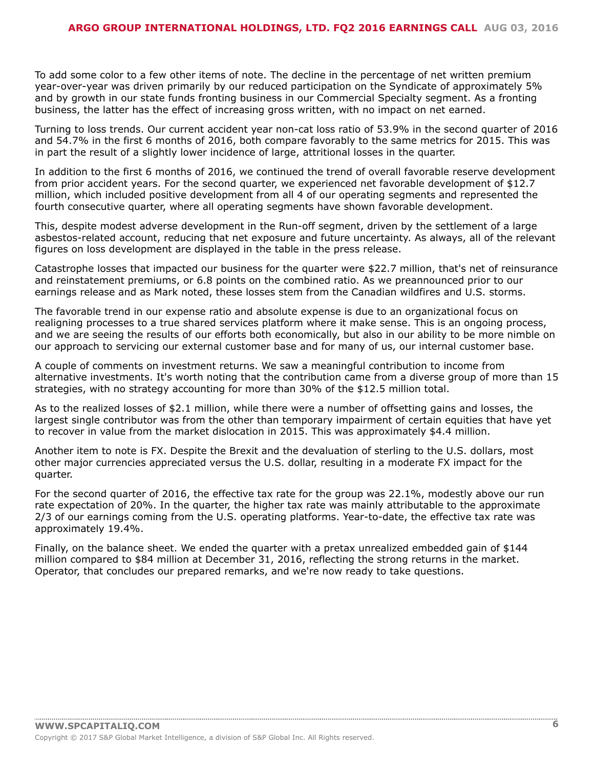To add some color to a few other items of note. The decline in the percentage of net written premium year-over-year was driven primarily by our reduced participation on the Syndicate of approximately 5% and by growth in our state funds fronting business in our Commercial Specialty segment. As a fronting business, the latter has the effect of increasing gross written, with no impact on net earned.

Turning to loss trends. Our current accident year non-cat loss ratio of 53.9% in the second quarter of 2016 and 54.7% in the first 6 months of 2016, both compare favorably to the same metrics for 2015. This was in part the result of a slightly lower incidence of large, attritional losses in the quarter.

In addition to the first 6 months of 2016, we continued the trend of overall favorable reserve development from prior accident years. For the second quarter, we experienced net favorable development of \$12.7 million, which included positive development from all 4 of our operating segments and represented the fourth consecutive quarter, where all operating segments have shown favorable development.

This, despite modest adverse development in the Run-off segment, driven by the settlement of a large asbestos-related account, reducing that net exposure and future uncertainty. As always, all of the relevant figures on loss development are displayed in the table in the press release.

Catastrophe losses that impacted our business for the quarter were \$22.7 million, that's net of reinsurance and reinstatement premiums, or 6.8 points on the combined ratio. As we preannounced prior to our earnings release and as Mark noted, these losses stem from the Canadian wildfires and U.S. storms.

The favorable trend in our expense ratio and absolute expense is due to an organizational focus on realigning processes to a true shared services platform where it make sense. This is an ongoing process, and we are seeing the results of our efforts both economically, but also in our ability to be more nimble on our approach to servicing our external customer base and for many of us, our internal customer base.

A couple of comments on investment returns. We saw a meaningful contribution to income from alternative investments. It's worth noting that the contribution came from a diverse group of more than 15 strategies, with no strategy accounting for more than 30% of the \$12.5 million total.

As to the realized losses of \$2.1 million, while there were a number of offsetting gains and losses, the largest single contributor was from the other than temporary impairment of certain equities that have yet to recover in value from the market dislocation in 2015. This was approximately \$4.4 million.

Another item to note is FX. Despite the Brexit and the devaluation of sterling to the U.S. dollars, most other major currencies appreciated versus the U.S. dollar, resulting in a moderate FX impact for the quarter.

For the second quarter of 2016, the effective tax rate for the group was 22.1%, modestly above our run rate expectation of 20%. In the quarter, the higher tax rate was mainly attributable to the approximate 2/3 of our earnings coming from the U.S. operating platforms. Year-to-date, the effective tax rate was approximately 19.4%.

Finally, on the balance sheet. We ended the quarter with a pretax unrealized embedded gain of \$144 million compared to \$84 million at December 31, 2016, reflecting the strong returns in the market. Operator, that concludes our prepared remarks, and we're now ready to take questions.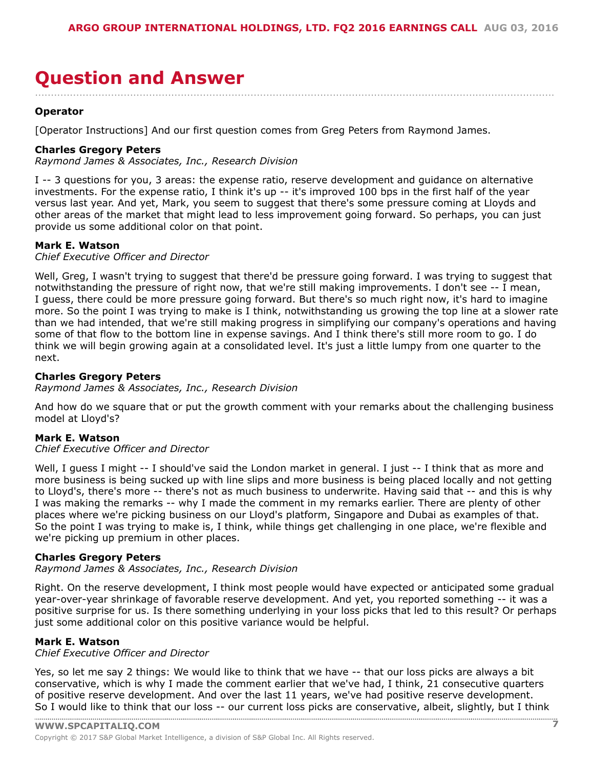### <span id="page-6-0"></span>**Question and Answer** ....................................................................................................................................................................

#### **Operator**

[Operator Instructions] And our first question comes from Greg Peters from Raymond James.

#### **Charles Gregory Peters**

*Raymond James & Associates, Inc., Research Division*

I -- 3 questions for you, 3 areas: the expense ratio, reserve development and guidance on alternative investments. For the expense ratio, I think it's up -- it's improved 100 bps in the first half of the year versus last year. And yet, Mark, you seem to suggest that there's some pressure coming at Lloyds and other areas of the market that might lead to less improvement going forward. So perhaps, you can just provide us some additional color on that point.

#### **Mark E. Watson**

*Chief Executive Officer and Director*

Well, Greg, I wasn't trying to suggest that there'd be pressure going forward. I was trying to suggest that notwithstanding the pressure of right now, that we're still making improvements. I don't see -- I mean, I guess, there could be more pressure going forward. But there's so much right now, it's hard to imagine more. So the point I was trying to make is I think, notwithstanding us growing the top line at a slower rate than we had intended, that we're still making progress in simplifying our company's operations and having some of that flow to the bottom line in expense savings. And I think there's still more room to go. I do think we will begin growing again at a consolidated level. It's just a little lumpy from one quarter to the next.

#### **Charles Gregory Peters**

*Raymond James & Associates, Inc., Research Division*

And how do we square that or put the growth comment with your remarks about the challenging business model at Lloyd's?

#### **Mark E. Watson**

*Chief Executive Officer and Director*

Well, I guess I might -- I should've said the London market in general. I just -- I think that as more and more business is being sucked up with line slips and more business is being placed locally and not getting to Lloyd's, there's more -- there's not as much business to underwrite. Having said that -- and this is why I was making the remarks -- why I made the comment in my remarks earlier. There are plenty of other places where we're picking business on our Lloyd's platform, Singapore and Dubai as examples of that. So the point I was trying to make is, I think, while things get challenging in one place, we're flexible and we're picking up premium in other places.

#### **Charles Gregory Peters**

*Raymond James & Associates, Inc., Research Division*

Right. On the reserve development, I think most people would have expected or anticipated some gradual year-over-year shrinkage of favorable reserve development. And yet, you reported something -- it was a positive surprise for us. Is there something underlying in your loss picks that led to this result? Or perhaps just some additional color on this positive variance would be helpful.

#### **Mark E. Watson**

*Chief Executive Officer and Director*

**WWW.SPCAPITALIQ.COM 7** Yes, so let me say 2 things: We would like to think that we have -- that our loss picks are always a bit conservative, which is why I made the comment earlier that we've had, I think, 21 consecutive quarters of positive reserve development. And over the last 11 years, we've had positive reserve development. So I [would](www.capitaliq.com) like to think that our loss -- our current loss picks are conservative, albeit, slightly, but I think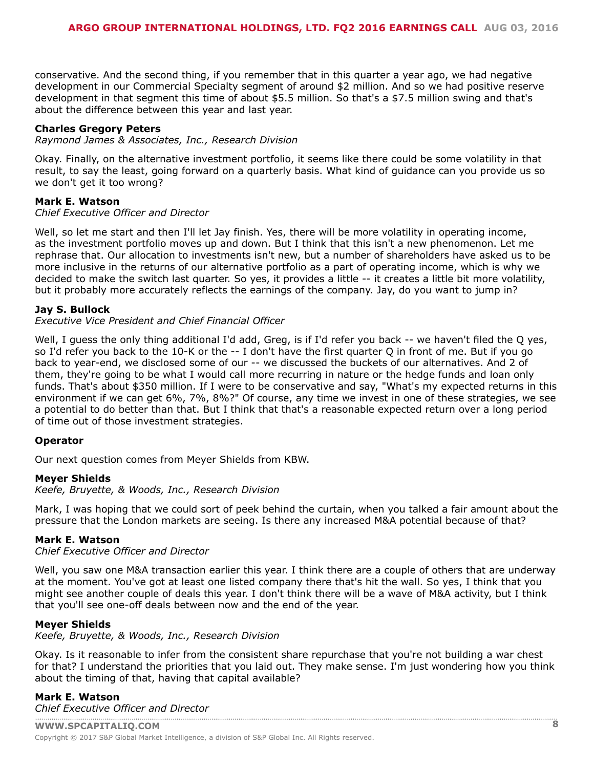conservative. And the second thing, if you remember that in this quarter a year ago, we had negative development in our Commercial Specialty segment of around \$2 million. And so we had positive reserve development in that segment this time of about \$5.5 million. So that's a \$7.5 million swing and that's about the difference between this year and last year.

#### **Charles Gregory Peters**

*Raymond James & Associates, Inc., Research Division*

Okay. Finally, on the alternative investment portfolio, it seems like there could be some volatility in that result, to say the least, going forward on a quarterly basis. What kind of guidance can you provide us so we don't get it too wrong?

#### **Mark E. Watson**

#### *Chief Executive Officer and Director*

Well, so let me start and then I'll let Jay finish. Yes, there will be more volatility in operating income, as the investment portfolio moves up and down. But I think that this isn't a new phenomenon. Let me rephrase that. Our allocation to investments isn't new, but a number of shareholders have asked us to be more inclusive in the returns of our alternative portfolio as a part of operating income, which is why we decided to make the switch last quarter. So yes, it provides a little -- it creates a little bit more volatility, but it probably more accurately reflects the earnings of the company. Jay, do you want to jump in?

#### **Jay S. Bullock**

#### *Executive Vice President and Chief Financial Officer*

Well, I guess the only thing additional I'd add, Greg, is if I'd refer you back -- we haven't filed the Q yes, so I'd refer you back to the 10-K or the -- I don't have the first quarter Q in front of me. But if you go back to year-end, we disclosed some of our -- we discussed the buckets of our alternatives. And 2 of them, they're going to be what I would call more recurring in nature or the hedge funds and loan only funds. That's about \$350 million. If I were to be conservative and say, "What's my expected returns in this environment if we can get 6%, 7%, 8%?" Of course, any time we invest in one of these strategies, we see a potential to do better than that. But I think that that's a reasonable expected return over a long period of time out of those investment strategies.

#### **Operator**

Our next question comes from Meyer Shields from KBW.

#### **Meyer Shields**

*Keefe, Bruyette, & Woods, Inc., Research Division*

Mark, I was hoping that we could sort of peek behind the curtain, when you talked a fair amount about the pressure that the London markets are seeing. Is there any increased M&A potential because of that?

#### **Mark E. Watson**

#### *Chief Executive Officer and Director*

Well, you saw one M&A transaction earlier this year. I think there are a couple of others that are underway at the moment. You've got at least one listed company there that's hit the wall. So yes, I think that you might see another couple of deals this year. I don't think there will be a wave of M&A activity, but I think that you'll see one-off deals between now and the end of the year.

#### **Meyer Shields**

*Keefe, Bruyette, & Woods, Inc., Research Division*

Okay. Is it reasonable to infer from the consistent share repurchase that you're not building a war chest for that? I understand the priorities that you laid out. They make sense. I'm just wondering how you think about the timing of that, having that capital available?

### **Mark E. Watson**

*[Chief Executive Officer an](www.capitaliq.com)d Director*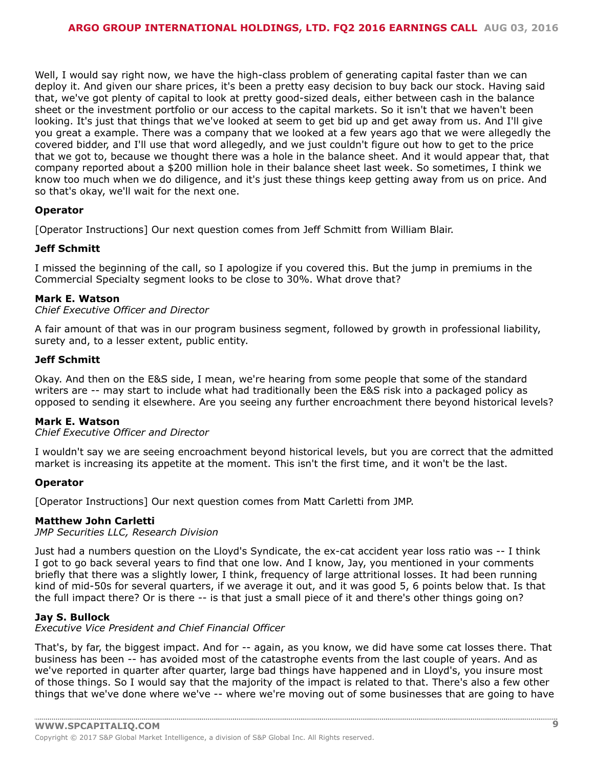Well, I would say right now, we have the high-class problem of generating capital faster than we can deploy it. And given our share prices, it's been a pretty easy decision to buy back our stock. Having said that, we've got plenty of capital to look at pretty good-sized deals, either between cash in the balance sheet or the investment portfolio or our access to the capital markets. So it isn't that we haven't been looking. It's just that things that we've looked at seem to get bid up and get away from us. And I'll give you great a example. There was a company that we looked at a few years ago that we were allegedly the covered bidder, and I'll use that word allegedly, and we just couldn't figure out how to get to the price that we got to, because we thought there was a hole in the balance sheet. And it would appear that, that company reported about a \$200 million hole in their balance sheet last week. So sometimes, I think we know too much when we do diligence, and it's just these things keep getting away from us on price. And so that's okay, we'll wait for the next one.

#### **Operator**

[Operator Instructions] Our next question comes from Jeff Schmitt from William Blair.

#### **Jeff Schmitt**

I missed the beginning of the call, so I apologize if you covered this. But the jump in premiums in the Commercial Specialty segment looks to be close to 30%. What drove that?

#### **Mark E. Watson**

#### *Chief Executive Officer and Director*

A fair amount of that was in our program business segment, followed by growth in professional liability, surety and, to a lesser extent, public entity.

#### **Jeff Schmitt**

Okay. And then on the E&S side, I mean, we're hearing from some people that some of the standard writers are -- may start to include what had traditionally been the E&S risk into a packaged policy as opposed to sending it elsewhere. Are you seeing any further encroachment there beyond historical levels?

#### **Mark E. Watson**

#### *Chief Executive Officer and Director*

I wouldn't say we are seeing encroachment beyond historical levels, but you are correct that the admitted market is increasing its appetite at the moment. This isn't the first time, and it won't be the last.

#### **Operator**

[Operator Instructions] Our next question comes from Matt Carletti from JMP.

#### **Matthew John Carletti**

*JMP Securities LLC, Research Division*

Just had a numbers question on the Lloyd's Syndicate, the ex-cat accident year loss ratio was -- I think I got to go back several years to find that one low. And I know, Jay, you mentioned in your comments briefly that there was a slightly lower, I think, frequency of large attritional losses. It had been running kind of mid-50s for several quarters, if we average it out, and it was good 5, 6 points below that. Is that the full impact there? Or is there -- is that just a small piece of it and there's other things going on?

#### **Jay S. Bullock**

*Executive Vice President and Chief Financial Officer*

That's, by far, the biggest impact. And for -- again, as you know, we did have some cat losses there. That business has been -- has avoided most of the catastrophe events from the last couple of years. And as we've reported in quarter after quarter, large bad things have happened and in Lloyd's, you insure most of those things. So I would say that the majority of the impact is related to that. There's also a few other things that we've done where we've -- where we're moving out of some businesses that are going to have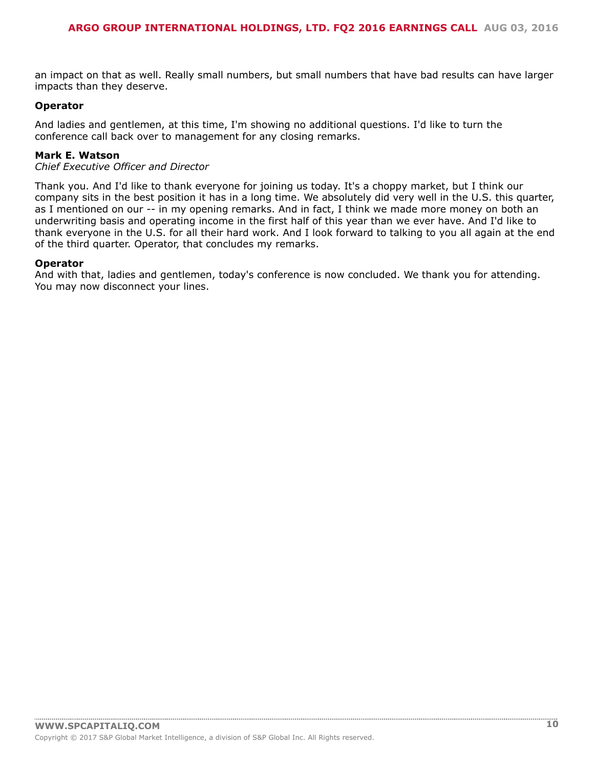an impact on that as well. Really small numbers, but small numbers that have bad results can have larger impacts than they deserve.

#### **Operator**

And ladies and gentlemen, at this time, I'm showing no additional questions. I'd like to turn the conference call back over to management for any closing remarks.

#### **Mark E. Watson**

#### *Chief Executive Officer and Director*

Thank you. And I'd like to thank everyone for joining us today. It's a choppy market, but I think our company sits in the best position it has in a long time. We absolutely did very well in the U.S. this quarter, as I mentioned on our -- in my opening remarks. And in fact, I think we made more money on both an underwriting basis and operating income in the first half of this year than we ever have. And I'd like to thank everyone in the U.S. for all their hard work. And I look forward to talking to you all again at the end of the third quarter. Operator, that concludes my remarks.

#### **Operator**

And with that, ladies and gentlemen, today's conference is now concluded. We thank you for attending. You may now disconnect your lines.